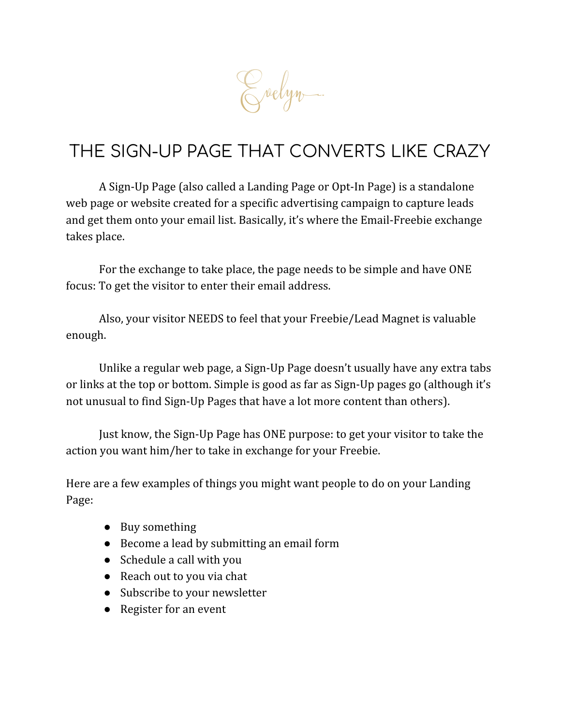Crelyn.

# THE SIGN-UP PAGE THAT CONVERTS LIKE CRAZY

A Sign-Up Page (also called a Landing Page or Opt-In Page) is a standalone web page or website created for a specific advertising campaign to capture leads and get them onto your email list. Basically, it's where the Email-Freebie exchange takes place.

For the exchange to take place, the page needs to be simple and have ONE focus: To get the visitor to enter their email address.

Also, your visitor NEEDS to feel that your Freebie/Lead Magnet is valuable enough.

Unlike a regular web page, a Sign-Up Page doesn't usually have any extra tabs or links at the top or bottom. Simple is good as far as Sign-Up pages go (although it's not unusual to find Sign-Up Pages that have a lot more content than others).

Just know, the Sign-Up Page has ONE purpose: to get your visitor to take the action you want him/her to take in exchange for your Freebie.

Here are a few examples of things you might want people to do on your Landing Page:

- Buy something
- Become a lead by submitting an email form
- Schedule a call with you
- Reach out to you via chat
- Subscribe to your newsletter
- Register for an event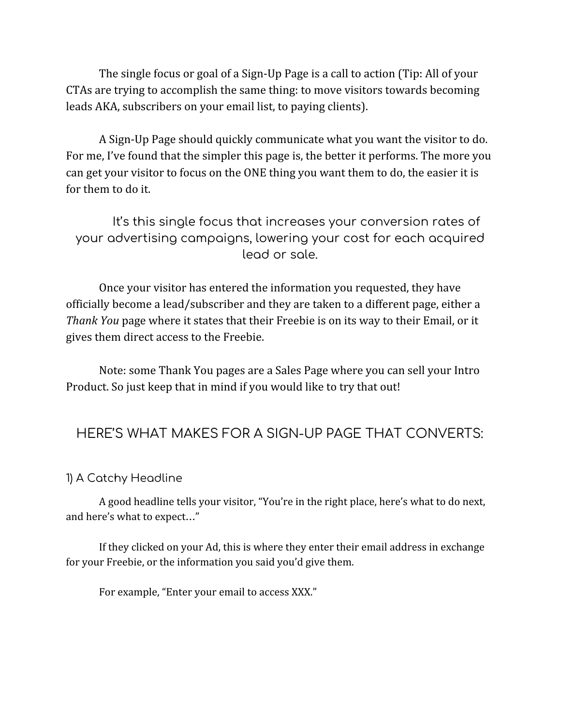The single focus or goal of a Sign-Up Page is a call to action (Tip: All of your CTAs are trying to accomplish the same thing: to move visitors towards becoming leads AKA, subscribers on your email list, to paying clients).

A Sign-Up Page should quickly communicate what you want the visitor to do. For me, I've found that the simpler this page is, the better it performs. The more you can get your visitor to focus on the ONE thing you want them to do, the easier it is for them to do it.

It's this single focus that increases your conversion rates of your advertising campaigns, lowering your cost for each acquired lead or sale.

Once your visitor has entered the information you requested, they have officially become a lead/subscriber and they are taken to a different page, either a *Thank You* page where it states that their Freebie is on its way to their Email, or it gives them direct access to the Freebie.

Note: some Thank You pages are a Sales Page where you can sell your Intro Product. So just keep that in mind if you would like to try that out!

## HERE'S WHAT MAKES FOR A SIGN-UP PAGE THAT CONVERTS:

#### 1) A Catchy Headline

A good headline tells your visitor, "You're in the right place, here's what to do next, and here's what to expect…"

If they clicked on your Ad, this is where they enter their email address in exchange for your Freebie, or the information you said you'd give them.

For example, "Enter your email to access XXX."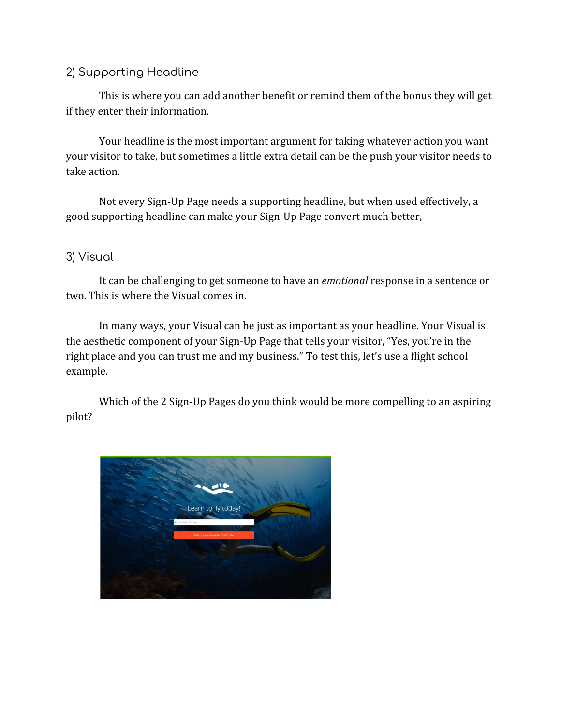#### 2) Supporting Headline

This is where you can add another benefit or remind them of the bonus they will get if they enter their information.

Your headline is the most important argument for taking whatever action you want your visitor to take, but sometimes a little extra detail can be the push your visitor needs to take action.

Not every Sign-Up Page needs a supporting headline, but when used effectively, a good supporting headline can make your Sign-Up Page convert much better,

#### 3) Visual

It can be challenging to get someone to have an *emotional* response in a sentence or two. This is where the Visual comes in.

In many ways, your Visual can be just as important as your headline. Your Visual is the aesthetic component of your Sign-Up Page that tells your visitor, "Yes, you're in the right place and you can trust me and my business." To test this, let's use a flight school example.

Which of the 2 Sign-Up Pages do you think would be more compelling to an aspiring pilot?

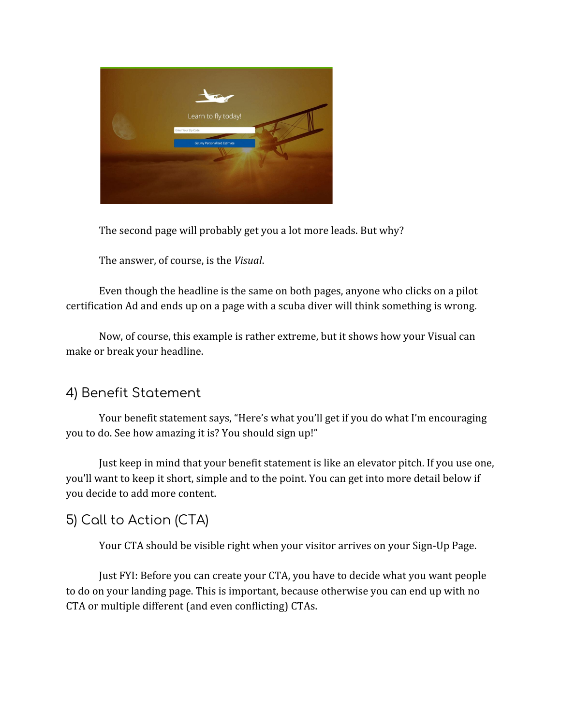

The second page will probably get you a lot more leads. But why?

The answer, of course, is the *Visual*.

Even though the headline is the same on both pages, anyone who clicks on a pilot certification Ad and ends up on a page with a scuba diver will think something is wrong.

Now, of course, this example is rather extreme, but it shows how your Visual can make or break your headline.

## 4) Benefit Statement

Your benefit statement says, "Here's what you'll get if you do what I'm encouraging you to do. See how amazing it is? You should sign up!"

Just keep in mind that your benefit statement is like an elevator pitch. If you use one, you'll want to keep it short, simple and to the point. You can get into more detail below if you decide to add more content.

# 5) Call to Action (CTA)

Your CTA should be visible right when your visitor arrives on your Sign-Up Page.

Just FYI: Before you can create your CTA, you have to decide what you want people to do on your landing page. This is important, because otherwise you can end up with no CTA or multiple different (and even conflicting) CTAs.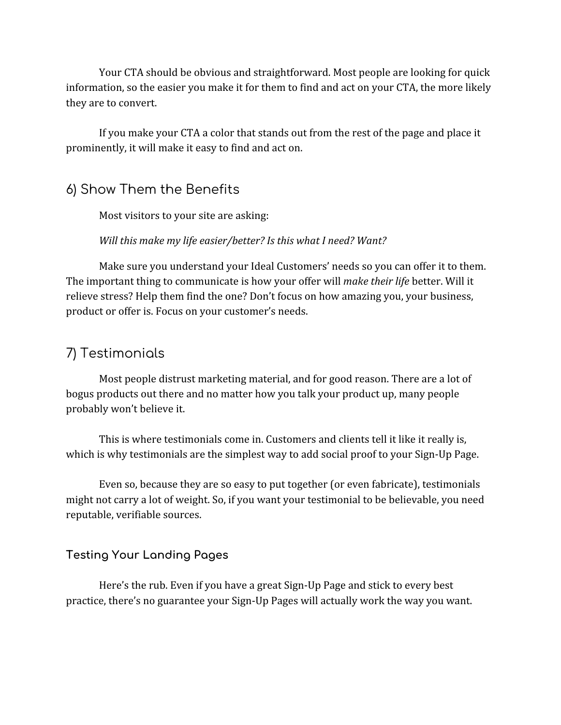Your CTA should be obvious and straightforward. Most people are looking for quick information, so the easier you make it for them to find and act on your CTA, the more likely they are to convert.

If you make your CTA a color that stands out from the rest of the page and place it prominently, it will make it easy to find and act on.

### 6) Show Them the Benefits

Most visitors to your site are asking:

*Will this make my life easier/better? Is this what I need? Want?*

Make sure you understand your Ideal Customers' needs so you can offer it to them. The important thing to communicate is how your offer will *make their life* better. Will it relieve stress? Help them find the one? Don't focus on how amazing you, your business, product or offer is. Focus on your customer's needs.

## 7) Testimonials

Most people distrust marketing material, and for good reason. There are a lot of bogus products out there and no matter how you talk your product up, many people probably won't believe it.

This is where testimonials come in. Customers and clients tell it like it really is, which is why testimonials are the simplest way to add social proof to your Sign-Up Page.

Even so, because they are so easy to put together (or even fabricate), testimonials might not carry a lot of weight. So, if you want your testimonial to be believable, you need reputable, verifiable sources.

#### **Testing Your Landing Pages**

Here's the rub. Even if you have a great Sign-Up Page and stick to every best practice, there's no guarantee your Sign-Up Pages will actually work the way you want.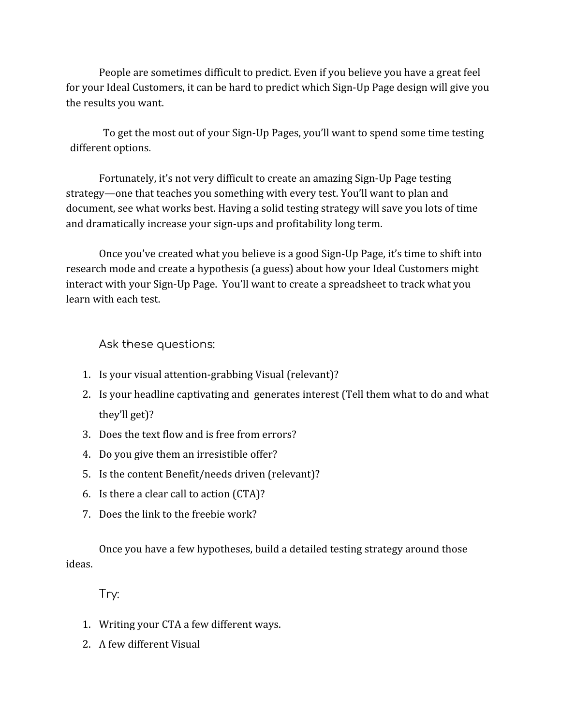People are sometimes difficult to predict. Even if you believe you have a great feel for your Ideal Customers, it can be hard to predict which Sign-Up Page design will give you the results you want.

To get the most out of your Sign-Up Pages, you'll want to spend some time testing different options.

Fortunately, it's not very difficult to create an amazing Sign-Up Page testing strategy—one that teaches you something with every test. You'll want to plan and document, see what works best. Having a solid testing strategy will save you lots of time and dramatically increase your sign-ups and profitability long term.

Once you've created what you believe is a good Sign-Up Page, it's time to shift into research mode and create a hypothesis (a guess) about how your Ideal Customers might interact with your Sign-Up Page. You'll want to create a spreadsheet to track what you learn with each test.

Ask these questions:

- 1. Is your visual attention-grabbing Visual (relevant)?
- 2. Is your headline captivating and generates interest (Tell them what to do and what they'll get)?
- 3. Does the text flow and is free from errors?
- 4. Do you give them an irresistible offer?
- 5. Is the content Benefit/needs driven (relevant)?
- 6. Is there a clear call to action (CTA)?
- 7. Does the link to the freebie work?

Once you have a few hypotheses, build a detailed testing strategy around those ideas.

Try:

- 1. Writing your CTA a few different ways.
- 2. A few different Visual